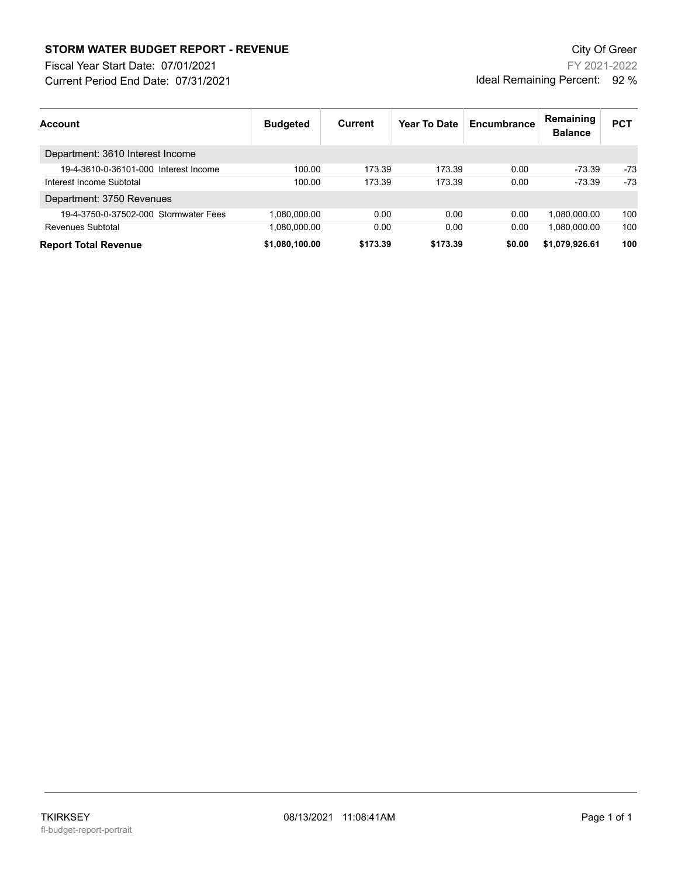## **STORM WATER BUDGET REPORT - REVENUE CONSUMPTER BUDGET REPORT - REVENUE**

Current Period End Date: 07/31/2021 Fiscal Year Start Date: 07/01/2021

FY 2021-2022 Ideal Remaining Percent: 92 %

| <b>Account</b>                        | <b>Budgeted</b> | <b>Current</b> | Year To Date | Encumbrance | Remaining<br><b>Balance</b> | <b>PCT</b> |
|---------------------------------------|-----------------|----------------|--------------|-------------|-----------------------------|------------|
| Department: 3610 Interest Income      |                 |                |              |             |                             |            |
| 19-4-3610-0-36101-000 Interest Income | 100.00          | 173.39         | 173.39       | 0.00        | $-73.39$                    | -73        |
| Interest Income Subtotal              | 100.00          | 173.39         | 173.39       | 0.00        | $-73.39$                    | -73        |
| Department: 3750 Revenues             |                 |                |              |             |                             |            |
| 19-4-3750-0-37502-000 Stormwater Fees | 1,080,000.00    | 0.00           | 0.00         | 0.00        | 1.080.000.00                | 100        |
| Revenues Subtotal                     | 1,080,000.00    | 0.00           | 0.00         | 0.00        | 1,080,000.00                | 100        |
| <b>Report Total Revenue</b>           | \$1,080,100.00  | \$173.39       | \$173.39     | \$0.00      | \$1,079,926.61              | 100        |